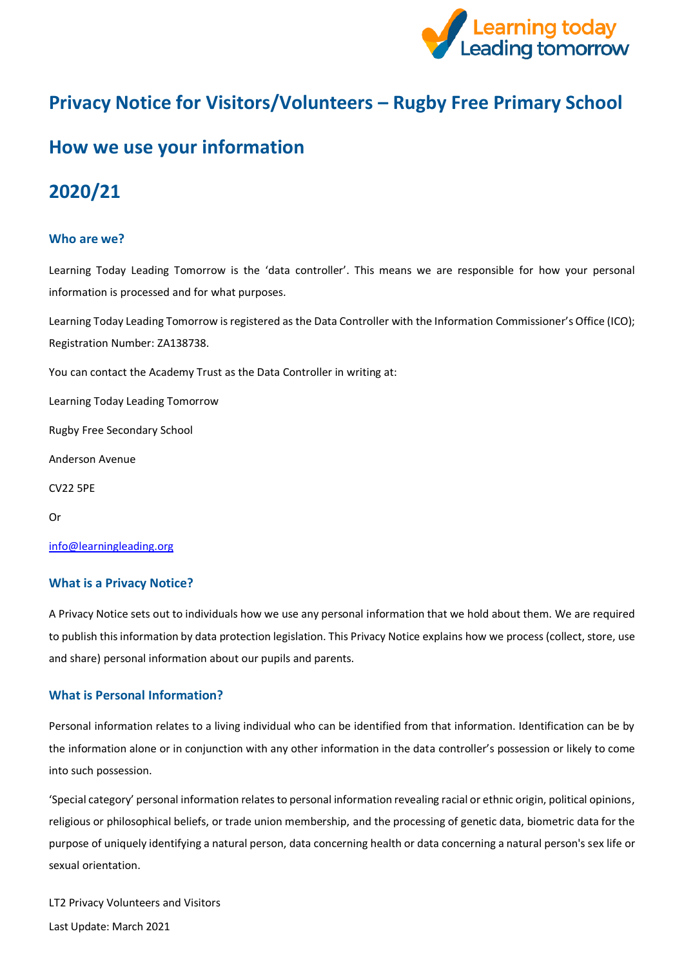

# **Privacy Notice for Visitors/Volunteers – Rugby Free Primary School**

## **How we use your information**

## **2020/21**

### **Who are we?**

Learning Today Leading Tomorrow is the 'data controller'. This means we are responsible for how your personal information is processed and for what purposes.

Learning Today Leading Tomorrow is registered as the Data Controller with the Information Commissioner's Office (ICO); Registration Number: ZA138738.

You can contact the Academy Trust as the Data Controller in writing at:

Learning Today Leading Tomorrow

Rugby Free Secondary School

Anderson Avenue

CV22 5PE

Or

[info@learningleading.org](https://rfps-my.sharepoint.com/personal/georgina_langley_learningleading_org/Documents/GDPR/Privacy%20Notice/Parent-Carer%20Privacy%20Notices/info@learningleading.org)

#### **What is a Privacy Notice?**

A Privacy Notice sets out to individuals how we use any personal information that we hold about them. We are required to publish this information by data protection legislation. This Privacy Notice explains how we process (collect, store, use and share) personal information about our pupils and parents.

#### **What is Personal Information?**

Personal information relates to a living individual who can be identified from that information. Identification can be by the information alone or in conjunction with any other information in the data controller's possession or likely to come into such possession.

'Special category' personal information relates to personal information revealing racial or ethnic origin, political opinions, religious or philosophical beliefs, or trade union membership, and the processing of genetic data, biometric data for the purpose of uniquely identifying a natural person, data concerning health or data concerning a natural person's sex life or sexual orientation.

LT2 Privacy Volunteers and Visitors Last Update: March 2021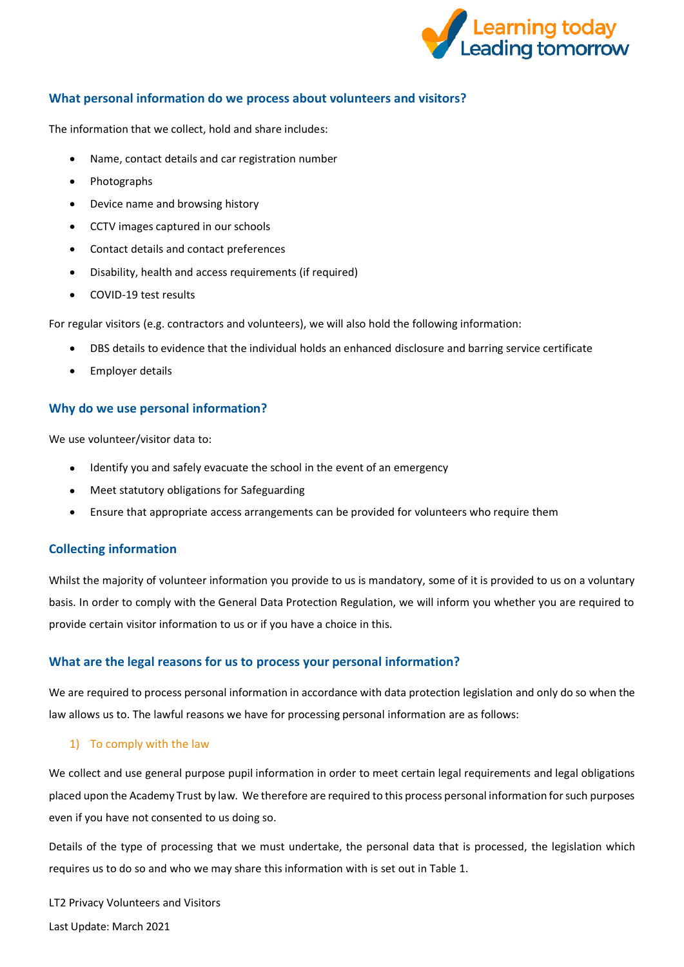

## **What personal information do we process about volunteers and visitors?**

The information that we collect, hold and share includes:

- Name, contact details and car registration number
- Photographs
- Device name and browsing history
- CCTV images captured in our schools
- Contact details and contact preferences
- Disability, health and access requirements (if required)
- COVID-19 test results

For regular visitors (e.g. contractors and volunteers), we will also hold the following information:

- DBS details to evidence that the individual holds an enhanced disclosure and barring service certificate
- Employer details

#### **Why do we use personal information?**

We use volunteer/visitor data to:

- Identify you and safely evacuate the school in the event of an emergency
- Meet statutory obligations for Safeguarding
- Ensure that appropriate access arrangements can be provided for volunteers who require them

#### **Collecting information**

Whilst the majority of volunteer information you provide to us is mandatory, some of it is provided to us on a voluntary basis. In order to comply with the General Data Protection Regulation, we will inform you whether you are required to provide certain visitor information to us or if you have a choice in this.

## **What are the legal reasons for us to process your personal information?**

We are required to process personal information in accordance with data protection legislation and only do so when the law allows us to. The lawful reasons we have for processing personal information are as follows:

#### 1) To comply with the law

We collect and use general purpose pupil information in order to meet certain legal requirements and legal obligations placed upon the Academy Trust by law. We therefore are required to this process personal information for such purposes even if you have not consented to us doing so.

Details of the type of processing that we must undertake, the personal data that is processed, the legislation which requires us to do so and who we may share this information with is set out in Table 1.

LT2 Privacy Volunteers and Visitors Last Update: March 2021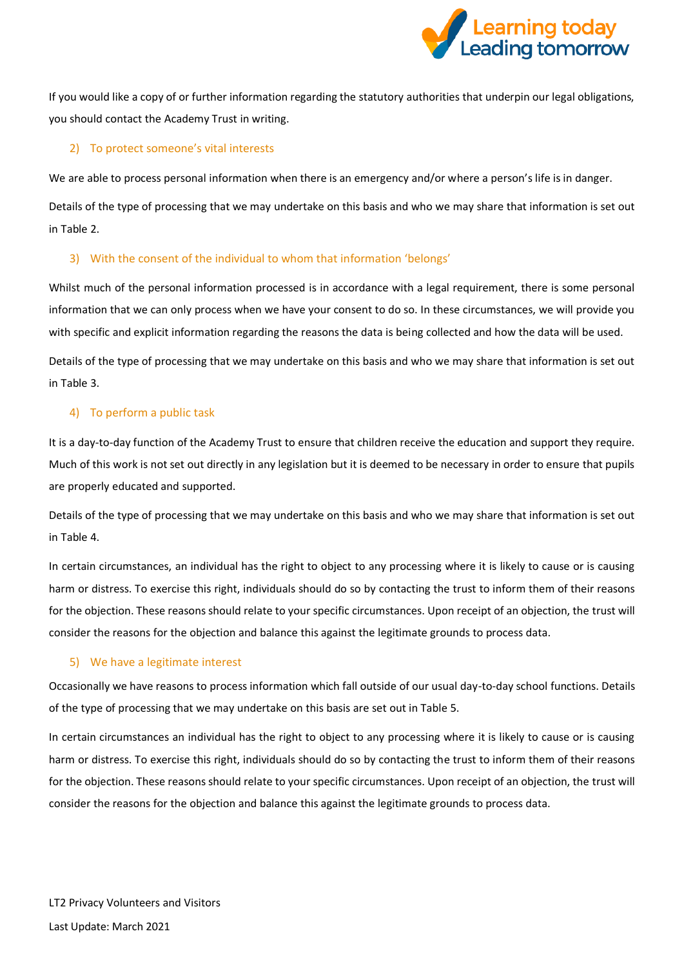

If you would like a copy of or further information regarding the statutory authorities that underpin our legal obligations, you should contact the Academy Trust in writing.

### 2) To protect someone's vital interests

We are able to process personal information when there is an emergency and/or where a person's life is in danger.

Details of the type of processing that we may undertake on this basis and who we may share that information is set out in Table 2.

## 3) With the consent of the individual to whom that information 'belongs'

Whilst much of the personal information processed is in accordance with a legal requirement, there is some personal information that we can only process when we have your consent to do so. In these circumstances, we will provide you with specific and explicit information regarding the reasons the data is being collected and how the data will be used.

Details of the type of processing that we may undertake on this basis and who we may share that information is set out in Table 3.

### 4) To perform a public task

It is a day-to-day function of the Academy Trust to ensure that children receive the education and support they require. Much of this work is not set out directly in any legislation but it is deemed to be necessary in order to ensure that pupils are properly educated and supported.

Details of the type of processing that we may undertake on this basis and who we may share that information is set out in Table 4.

In certain circumstances, an individual has the right to object to any processing where it is likely to cause or is causing harm or distress. To exercise this right, individuals should do so by contacting the trust to inform them of their reasons for the objection. These reasons should relate to your specific circumstances. Upon receipt of an objection, the trust will consider the reasons for the objection and balance this against the legitimate grounds to process data.

#### 5) We have a legitimate interest

Occasionally we have reasons to process information which fall outside of our usual day-to-day school functions. Details of the type of processing that we may undertake on this basis are set out in Table 5.

In certain circumstances an individual has the right to object to any processing where it is likely to cause or is causing harm or distress. To exercise this right, individuals should do so by contacting the trust to inform them of their reasons for the objection. These reasons should relate to your specific circumstances. Upon receipt of an objection, the trust will consider the reasons for the objection and balance this against the legitimate grounds to process data.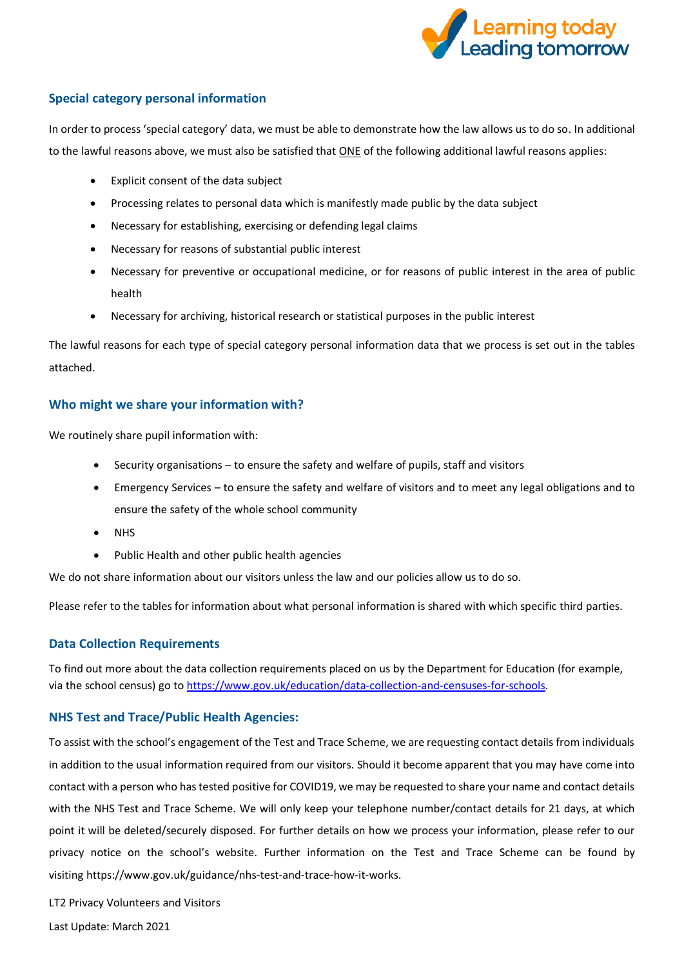

## **Special category personal information**

In order to process 'special category' data, we must be able to demonstrate how the law allows us to do so. In additional to the lawful reasons above, we must also be satisfied that ONE of the following additional lawful reasons applies:

- Explicit consent of the data subject
- Processing relates to personal data which is manifestly made public by the data subject
- Necessary for establishing, exercising or defending legal claims
- Necessary for reasons of substantial public interest
- Necessary for preventive or occupational medicine, or for reasons of public interest in the area of public health
- Necessary for archiving, historical research or statistical purposes in the public interest

The lawful reasons for each type of special category personal information data that we process is set out in the tables attached.

### **Who might we share your information with?**

We routinely share pupil information with:

- Security organisations to ensure the safety and welfare of pupils, staff and visitors
- Emergency Services to ensure the safety and welfare of visitors and to meet any legal obligations and to ensure the safety of the whole school community
- NHS
- Public Health and other public health agencies

We do not share information about our visitors unless the law and our policies allow us to do so.

Please refer to the tables for information about what personal information is shared with which specific third parties.

#### **Data Collection Requirements**

To find out more about the data collection requirements placed on us by the Department for Education (for example, via the school census) go t[o https://www.gov.uk/education/data-collection-and-censuses-for-schools.](https://www.gov.uk/education/data-collection-and-censuses-for-schools)

#### **NHS Test and Trace/Public Health Agencies:**

To assist with the school's engagement of the Test and Trace Scheme, we are requesting contact details from individuals in addition to the usual information required from our visitors. Should it become apparent that you may have come into contact with a person who has tested positive for COVID19, we may be requested to share your name and contact details with the NHS Test and Trace Scheme. We will only keep your telephone number/contact details for 21 days, at which point it will be deleted/securely disposed. For further details on how we process your information, please refer to our privacy notice on the school's website. Further information on the Test and Trace Scheme can be found by visiting [https://www.gov.uk/guidance/nhs-test-and-trace-how-it-works.](https://warwickshire.us5.list-manage.com/track/click?u=a24b439ef7022ae0d86f9ca6e&id=162c0cebb1&e=f9705c84c2)

LT2 Privacy Volunteers and Visitors

Last Update: March 2021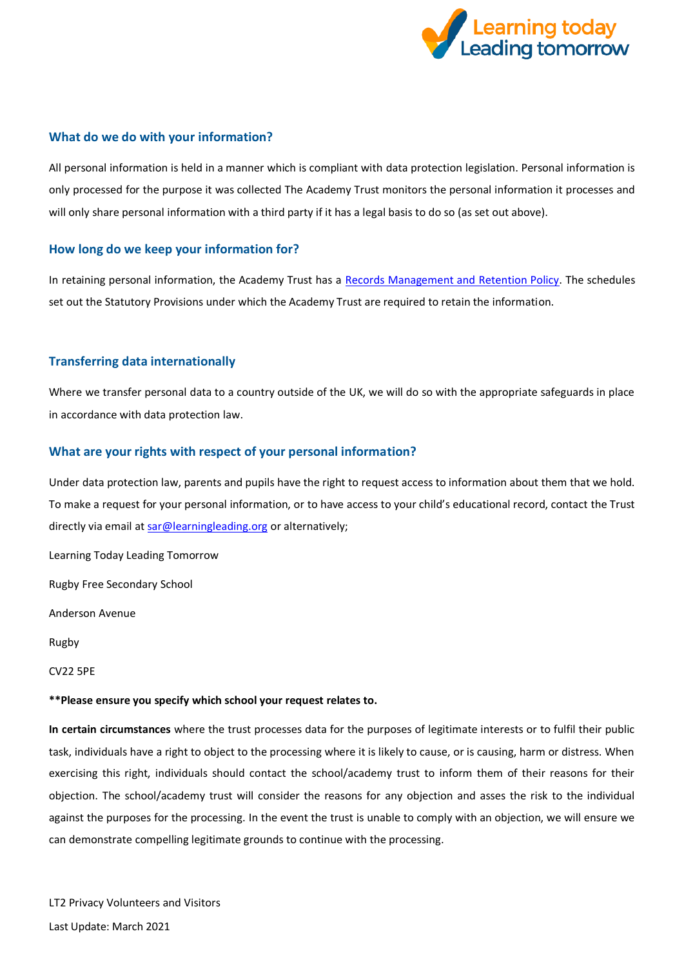

#### **What do we do with your information?**

All personal information is held in a manner which is compliant with data protection legislation. Personal information is only processed for the purpose it was collected The Academy Trust monitors the personal information it processes and will only share personal information with a third party if it has a legal basis to do so (as set out above).

#### **How long do we keep your information for?**

In retaining personal information, the Academy Trust has a [Records Management and Retention Policy.](https://www.the-trust-governor.co.uk/documents/202103240752500.210326%20LT2%20Records%20Management%20Policy.pdf) The schedules set out the Statutory Provisions under which the Academy Trust are required to retain the information.

### **Transferring data internationally**

Where we transfer personal data to a country outside of the UK, we will do so with the appropriate safeguards in place in accordance with data protection law.

### **What are your rights with respect of your personal information?**

Under data protection law, parents and pupils have the right to request access to information about them that we hold. To make a request for your personal information, or to have access to your child's educational record, contact the Trust directly via email a[t sar@learningleading.org](mailto:sar@learningleading.org) or alternatively;

Learning Today Leading Tomorrow

Rugby Free Secondary School

Anderson Avenue

Rugby

CV22 5PE

#### **\*\*Please ensure you specify which school your request relates to.**

**In certain circumstances** where the trust processes data for the purposes of legitimate interests or to fulfil their public task, individuals have a right to object to the processing where it is likely to cause, or is causing, harm or distress. When exercising this right, individuals should contact the school/academy trust to inform them of their reasons for their objection. The school/academy trust will consider the reasons for any objection and asses the risk to the individual against the purposes for the processing. In the event the trust is unable to comply with an objection, we will ensure we can demonstrate compelling legitimate grounds to continue with the processing.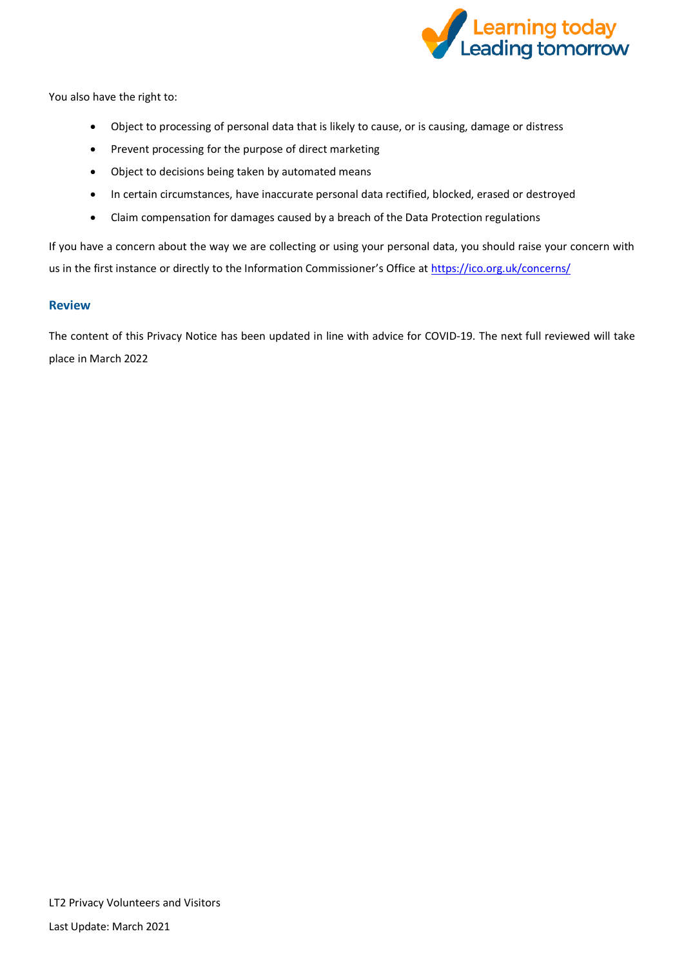

You also have the right to:

- Object to processing of personal data that is likely to cause, or is causing, damage or distress
- Prevent processing for the purpose of direct marketing
- Object to decisions being taken by automated means
- In certain circumstances, have inaccurate personal data rectified, blocked, erased or destroyed
- Claim compensation for damages caused by a breach of the Data Protection regulations

If you have a concern about the way we are collecting or using your personal data, you should raise your concern with us in the first instance or directly to the Information Commissioner's Office at <https://ico.org.uk/concerns/>

#### **Review**

The content of this Privacy Notice has been updated in line with advice for COVID-19. The next full reviewed will take place in March 2022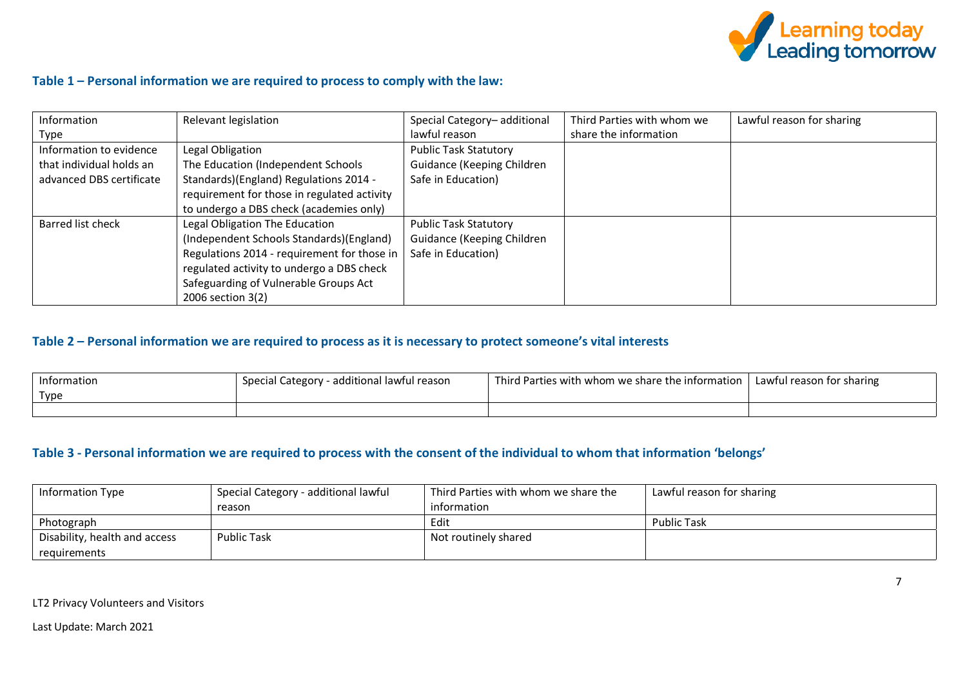

### **Table 1 – Personal information we are required to process to comply with the law:**

| Information              | Relevant legislation                        | Special Category-additional  | Third Parties with whom we | Lawful reason for sharing |
|--------------------------|---------------------------------------------|------------------------------|----------------------------|---------------------------|
| Type                     |                                             | lawful reason                | share the information      |                           |
| Information to evidence  | Legal Obligation                            | <b>Public Task Statutory</b> |                            |                           |
| that individual holds an | The Education (Independent Schools          | Guidance (Keeping Children   |                            |                           |
| advanced DBS certificate | Standards)(England) Regulations 2014 -      | Safe in Education)           |                            |                           |
|                          | requirement for those in regulated activity |                              |                            |                           |
|                          | to undergo a DBS check (academies only)     |                              |                            |                           |
| Barred list check        | Legal Obligation The Education              | <b>Public Task Statutory</b> |                            |                           |
|                          | (Independent Schools Standards) (England)   | Guidance (Keeping Children   |                            |                           |
|                          | Regulations 2014 - requirement for those in | Safe in Education)           |                            |                           |
|                          | regulated activity to undergo a DBS check   |                              |                            |                           |
|                          | Safeguarding of Vulnerable Groups Act       |                              |                            |                           |
|                          | 2006 section 3(2)                           |                              |                            |                           |

## **Table 2 – Personal information we are required to process as it is necessary to protect someone's vital interests**

| Information<br>Type | special Category<br>- additional lawful reason | l Third Parties with whom we share the information | Lawful reason for sharing |
|---------------------|------------------------------------------------|----------------------------------------------------|---------------------------|
|                     |                                                |                                                    |                           |

#### **Table 3 - Personal information we are required to process with the consent of the individual to whom that information 'belongs'**

| <b>Information Type</b>       | Special Category - additional lawful | Third Parties with whom we share the | Lawful reason for sharing |
|-------------------------------|--------------------------------------|--------------------------------------|---------------------------|
|                               | reason                               | information                          |                           |
| Photograph                    |                                      | Edit                                 | <b>Public Task</b>        |
| Disability, health and access | <b>Public Task</b>                   | Not routinely shared                 |                           |
| requirements                  |                                      |                                      |                           |

LT2 Privacy Volunteers and Visitors